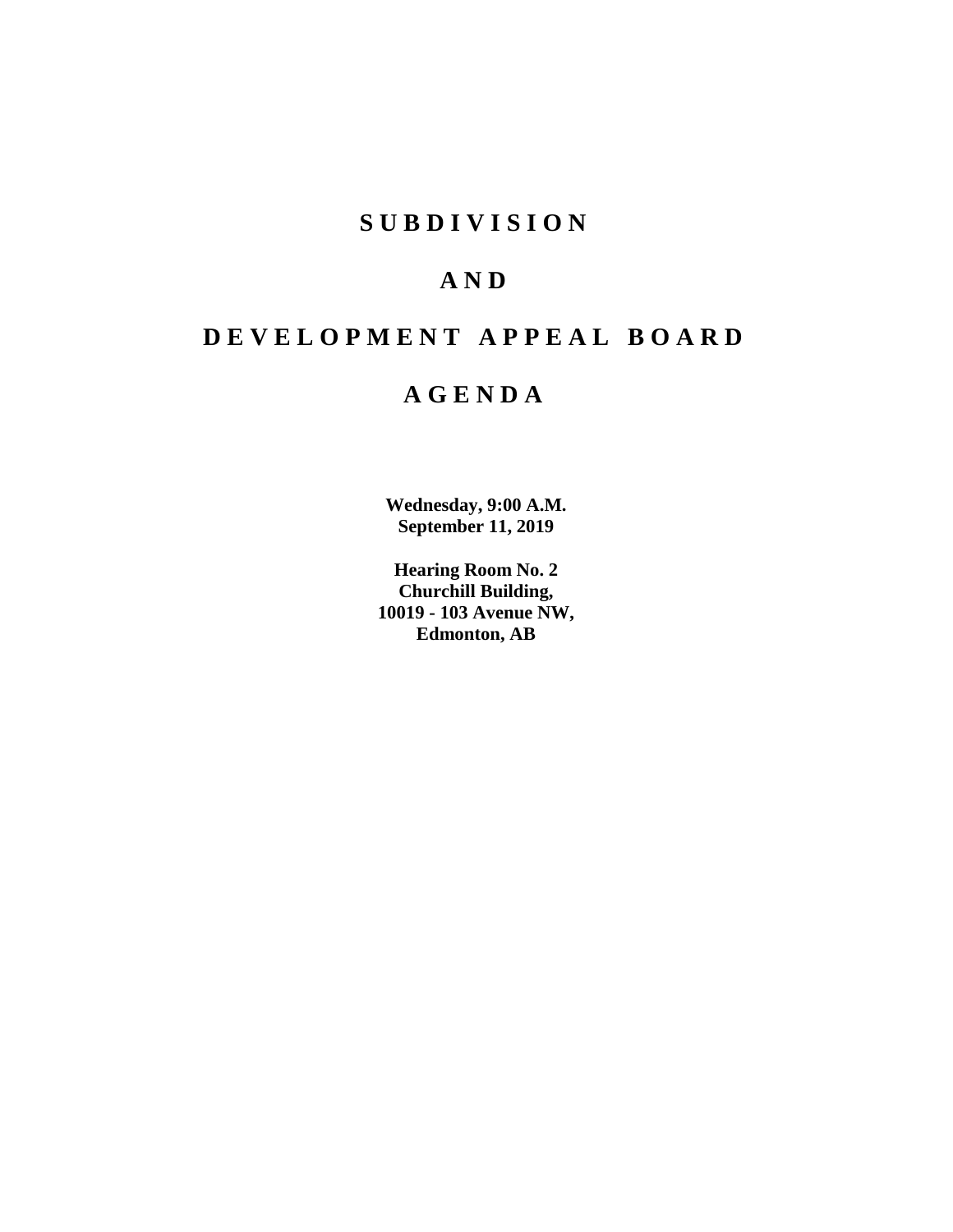## **S U B D I V I S I O N**

## **A N D**

# **D E V E L O P M E N T A P P E A L B O A R D**

## **A G E N D A**

**Wednesday, 9:00 A.M. September 11, 2019**

**Hearing Room No. 2 Churchill Building, 10019 - 103 Avenue NW, Edmonton, AB**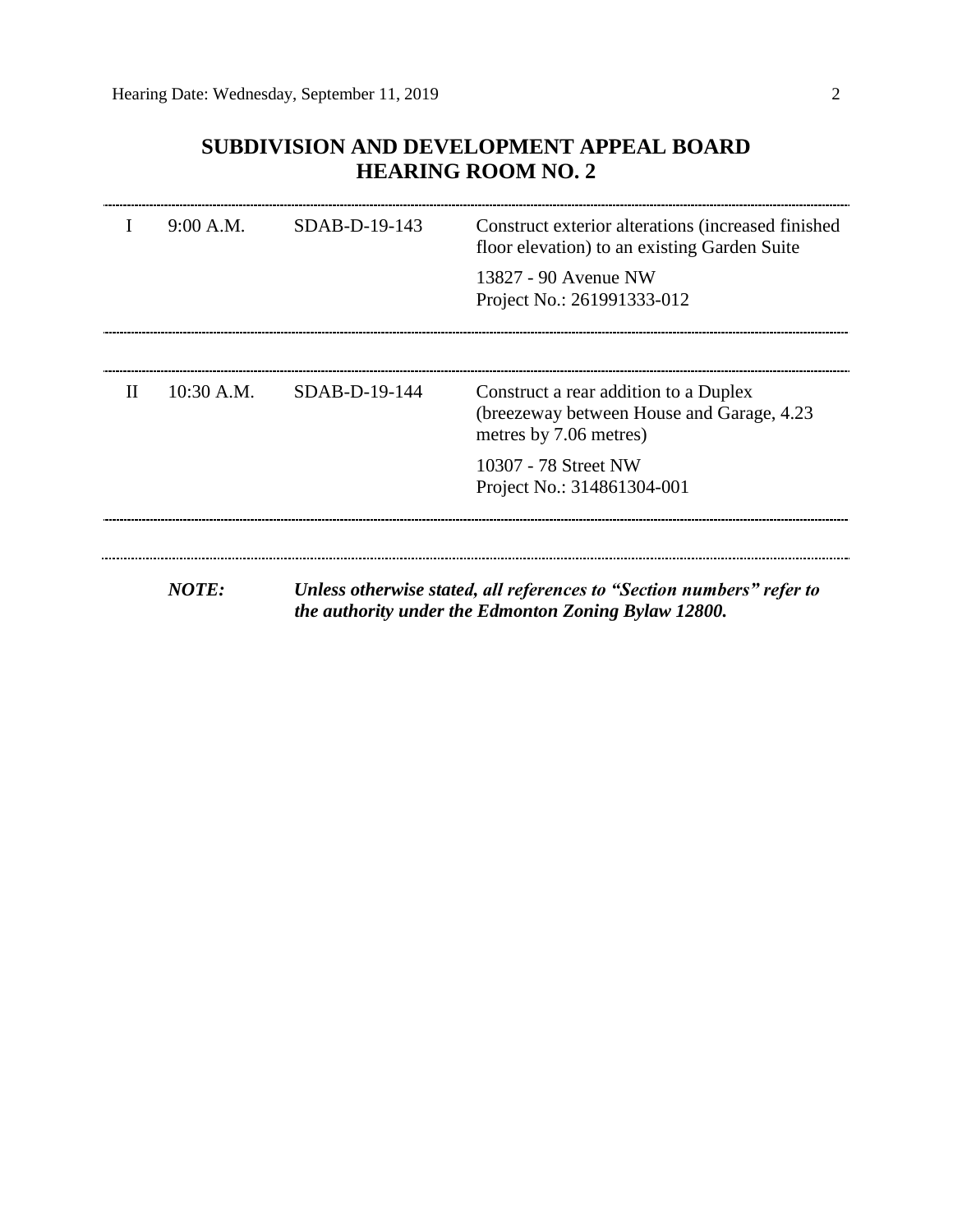## **SUBDIVISION AND DEVELOPMENT APPEAL BOARD HEARING ROOM NO. 2**

|              | 9:00 A.M.    | SDAB-D-19-143 | Construct exterior alterations (increased finished<br>floor elevation) to an existing Garden Suite                            |
|--------------|--------------|---------------|-------------------------------------------------------------------------------------------------------------------------------|
|              |              |               | 13827 - 90 Avenue NW<br>Project No.: 261991333-012                                                                            |
| $\mathbf{H}$ | $10:30$ A.M. | SDAB-D-19-144 | Construct a rear addition to a Duplex<br>(breezeway between House and Garage, 4.23)<br>metres by 7.06 metres)                 |
|              |              |               | 10307 - 78 Street NW<br>Project No.: 314861304-001                                                                            |
|              |              |               |                                                                                                                               |
|              | <b>NOTE:</b> |               | Unless otherwise stated, all references to "Section numbers" refer to<br>the authority under the Edmonton Zoning Bylaw 12800. |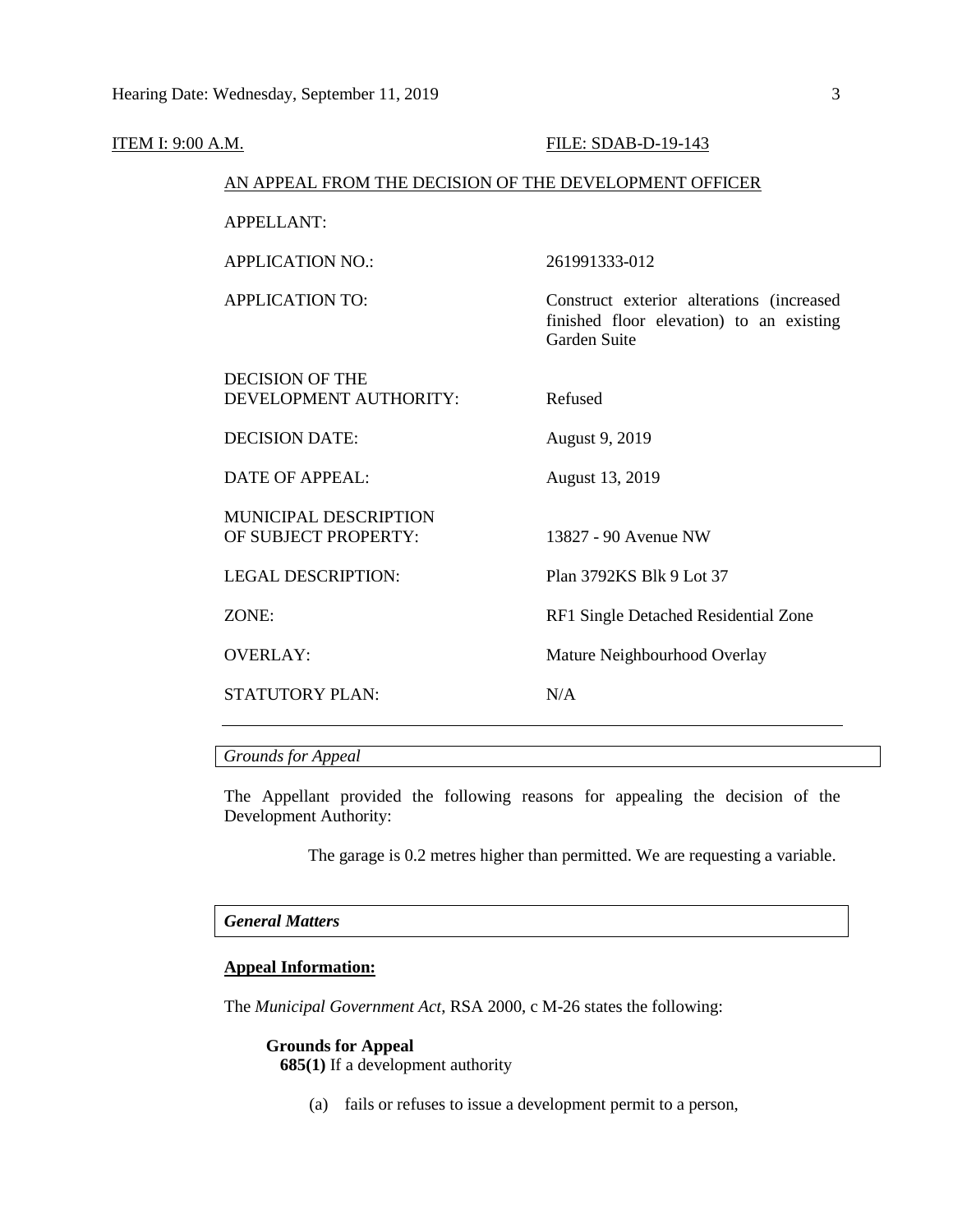|                          |                                                                                                                                                                                                                                                                          | FILE: SDAB-D-19-143                                                                                   |  |  |  |  |  |
|--------------------------|--------------------------------------------------------------------------------------------------------------------------------------------------------------------------------------------------------------------------------------------------------------------------|-------------------------------------------------------------------------------------------------------|--|--|--|--|--|
| <b>ITEM I: 9:00 A.M.</b> | AN APPEAL FROM THE DECISION OF THE DEVELOPMENT OFFICER                                                                                                                                                                                                                   |                                                                                                       |  |  |  |  |  |
|                          | <b>APPELLANT:</b>                                                                                                                                                                                                                                                        |                                                                                                       |  |  |  |  |  |
|                          | <b>APPLICATION NO.:</b>                                                                                                                                                                                                                                                  | 261991333-012                                                                                         |  |  |  |  |  |
|                          | <b>APPLICATION TO:</b><br><b>DECISION OF THE</b><br>DEVELOPMENT AUTHORITY:<br><b>DECISION DATE:</b><br><b>DATE OF APPEAL:</b><br><b>MUNICIPAL DESCRIPTION</b><br>OF SUBJECT PROPERTY:<br><b>LEGAL DESCRIPTION:</b><br>ZONE:<br><b>OVERLAY:</b><br><b>STATUTORY PLAN:</b> | Construct exterior alterations (increased<br>finished floor elevation) to an existing<br>Garden Suite |  |  |  |  |  |
|                          |                                                                                                                                                                                                                                                                          | Refused                                                                                               |  |  |  |  |  |
|                          |                                                                                                                                                                                                                                                                          | August 9, 2019                                                                                        |  |  |  |  |  |
|                          |                                                                                                                                                                                                                                                                          | August 13, 2019                                                                                       |  |  |  |  |  |
|                          |                                                                                                                                                                                                                                                                          | 13827 - 90 Avenue NW                                                                                  |  |  |  |  |  |
|                          |                                                                                                                                                                                                                                                                          | Plan 3792KS Blk 9 Lot 37                                                                              |  |  |  |  |  |
|                          |                                                                                                                                                                                                                                                                          | RF1 Single Detached Residential Zone                                                                  |  |  |  |  |  |
|                          |                                                                                                                                                                                                                                                                          | Mature Neighbourhood Overlay                                                                          |  |  |  |  |  |
|                          |                                                                                                                                                                                                                                                                          | N/A                                                                                                   |  |  |  |  |  |
|                          |                                                                                                                                                                                                                                                                          |                                                                                                       |  |  |  |  |  |

*Grounds for Appeal*

The Appellant provided the following reasons for appealing the decision of the Development Authority:

The garage is 0.2 metres higher than permitted. We are requesting a variable.

### *General Matters*

## **Appeal Information:**

The *Municipal Government Act*, RSA 2000, c M-26 states the following:

## **Grounds for Appeal**

**685(1)** If a development authority

(a) fails or refuses to issue a development permit to a person,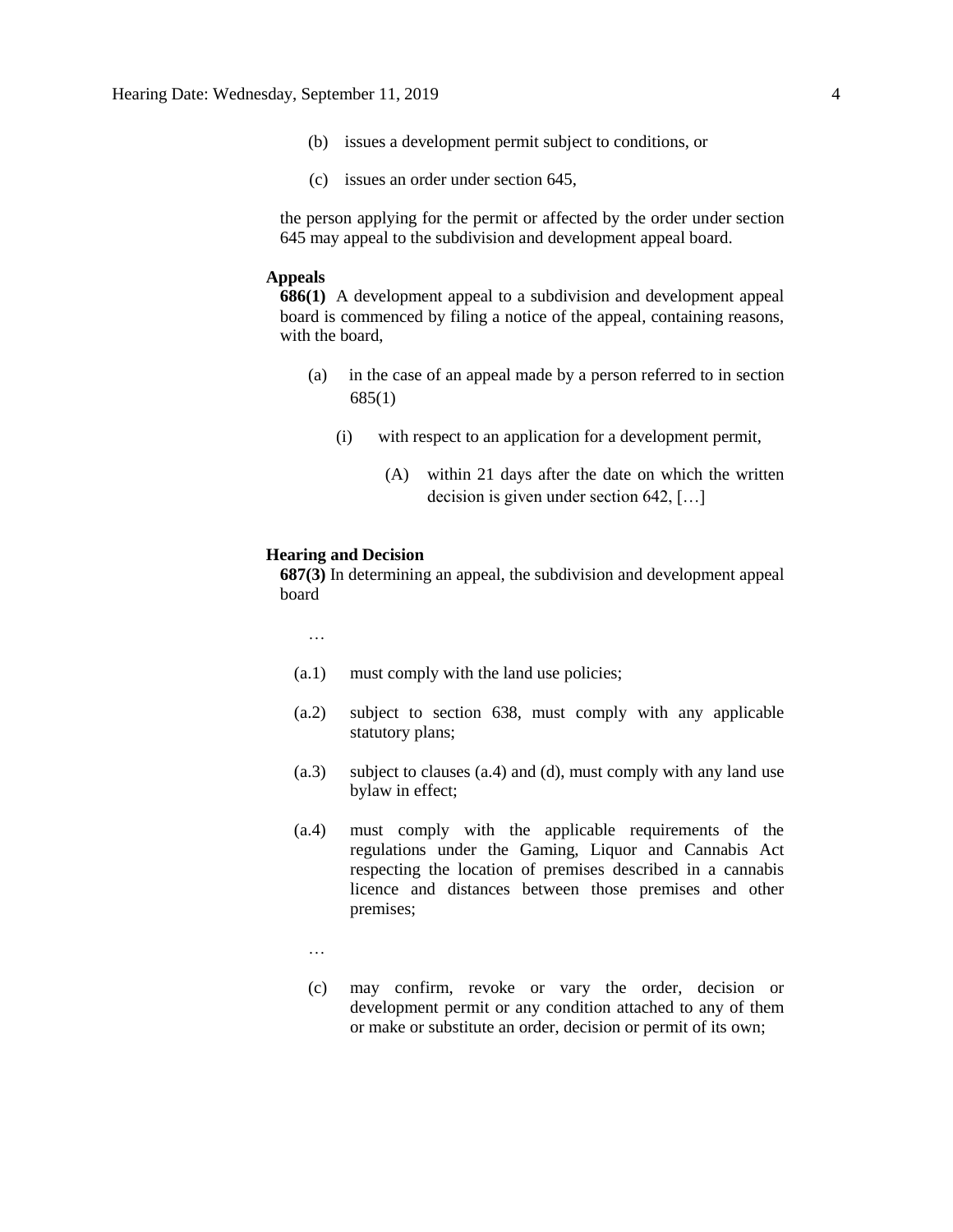- (b) issues a development permit subject to conditions, or
- (c) issues an order under section 645,

the person applying for the permit or affected by the order under section 645 may appeal to the subdivision and development appeal board.

### **Appeals**

**686(1)** A development appeal to a subdivision and development appeal board is commenced by filing a notice of the appeal, containing reasons, with the board,

- (a) in the case of an appeal made by a person referred to in section 685(1)
	- (i) with respect to an application for a development permit,
		- (A) within 21 days after the date on which the written decision is given under section 642, […]

#### **Hearing and Decision**

**687(3)** In determining an appeal, the subdivision and development appeal board

…

- (a.1) must comply with the land use policies;
- (a.2) subject to section 638, must comply with any applicable statutory plans;
- (a.3) subject to clauses (a.4) and (d), must comply with any land use bylaw in effect;
- (a.4) must comply with the applicable requirements of the regulations under the Gaming, Liquor and Cannabis Act respecting the location of premises described in a cannabis licence and distances between those premises and other premises;
	- …
	- (c) may confirm, revoke or vary the order, decision or development permit or any condition attached to any of them or make or substitute an order, decision or permit of its own;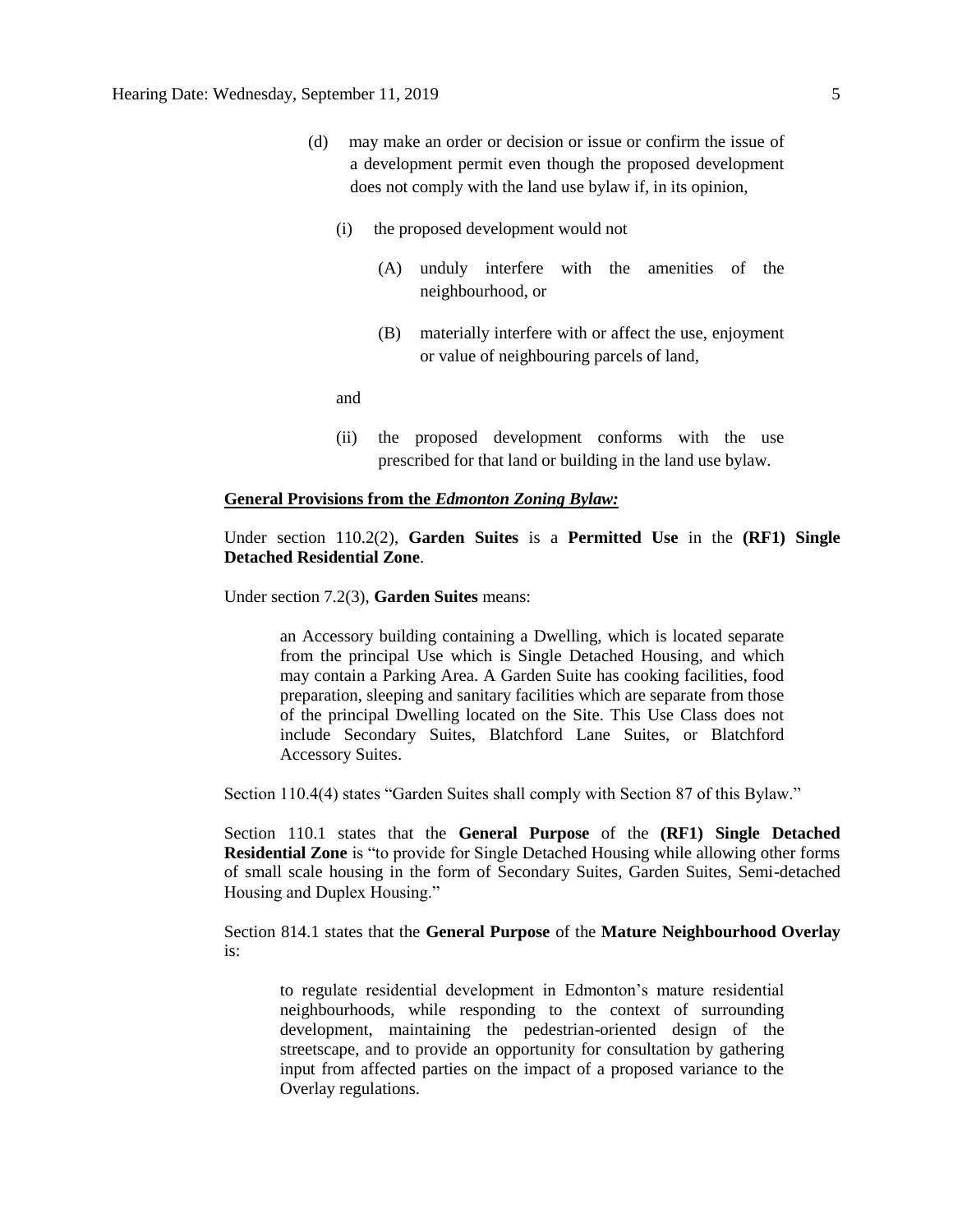- (d) may make an order or decision or issue or confirm the issue of a development permit even though the proposed development does not comply with the land use bylaw if, in its opinion,
	- (i) the proposed development would not
		- (A) unduly interfere with the amenities of the neighbourhood, or
		- (B) materially interfere with or affect the use, enjoyment or value of neighbouring parcels of land,

and

(ii) the proposed development conforms with the use prescribed for that land or building in the land use bylaw.

#### **General Provisions from the** *Edmonton Zoning Bylaw:*

Under section 110.2(2), **Garden Suites** is a **Permitted Use** in the **(RF1) Single Detached Residential Zone**.

Under section 7.2(3), **Garden Suites** means:

an Accessory building containing a Dwelling, which is located separate from the principal Use which is Single Detached Housing, and which may contain a Parking Area. A Garden Suite has cooking facilities, food preparation, sleeping and sanitary facilities which are separate from those of the principal Dwelling located on the Site. This Use Class does not include Secondary Suites, Blatchford Lane Suites, or Blatchford Accessory Suites.

Section 110.4(4) states "Garden Suites shall comply with Section 87 of this Bylaw."

Section 110.1 states that the **General Purpose** of the **(RF1) Single Detached Residential Zone** is "to provide for Single Detached Housing while allowing other forms of small scale housing in the form of Secondary Suites, Garden Suites, Semi-detached Housing and Duplex Housing."

Section 814.1 states that the **General Purpose** of the **Mature Neighbourhood Overlay**  is:

to regulate residential development in Edmonton's mature residential neighbourhoods, while responding to the context of surrounding development, maintaining the pedestrian-oriented design of the streetscape, and to provide an opportunity for consultation by gathering input from affected parties on the impact of a proposed variance to the Overlay regulations.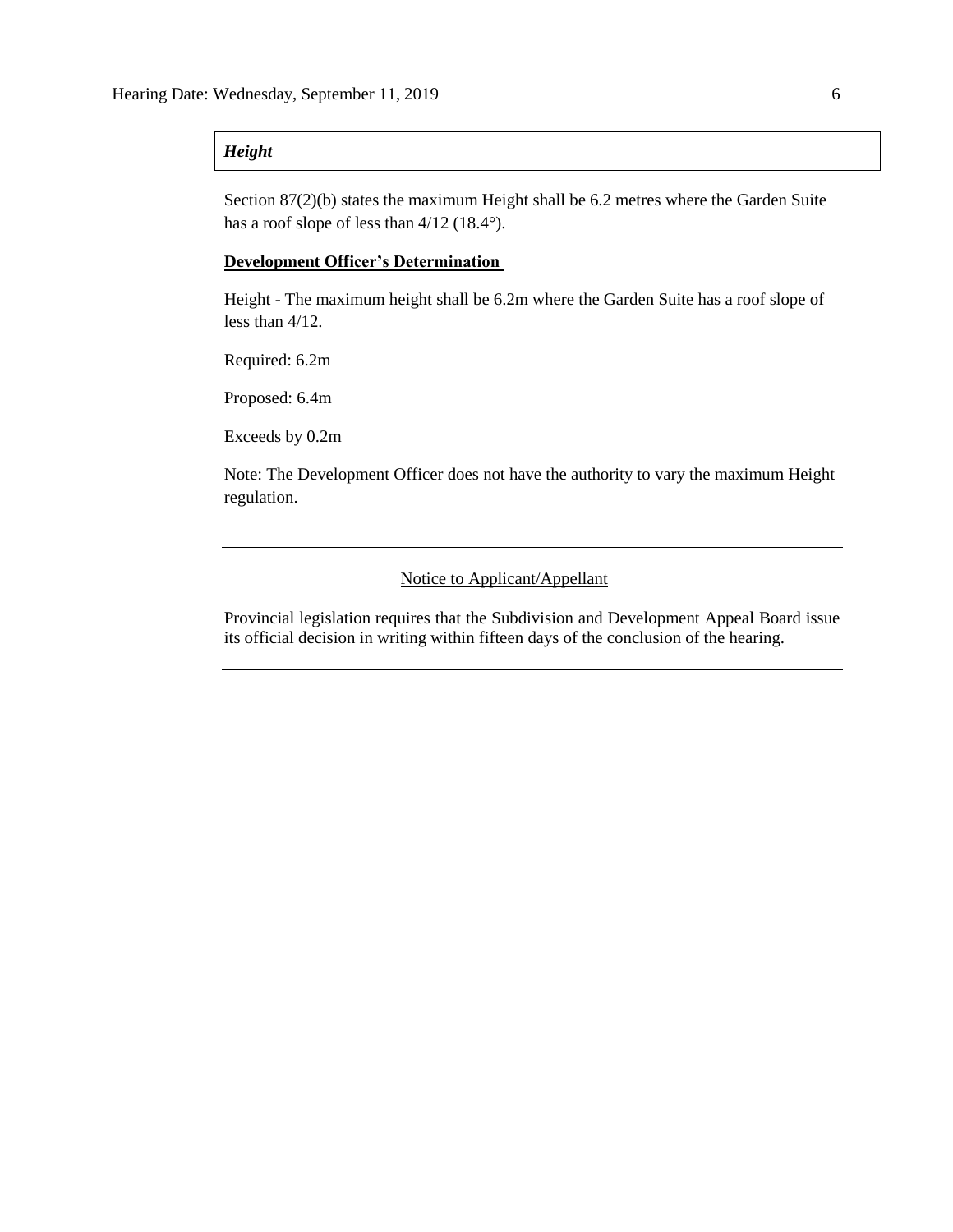## *Height*

Section 87(2)(b) states the maximum Height shall be 6.2 metres where the Garden Suite has a roof slope of less than  $4/12$  (18.4°).

## **Development Officer's Determination**

Height - The maximum height shall be 6.2m where the Garden Suite has a roof slope of less than 4/12.

Required: 6.2m

Proposed: 6.4m

Exceeds by 0.2m

Note: The Development Officer does not have the authority to vary the maximum Height regulation.

### Notice to Applicant/Appellant

Provincial legislation requires that the Subdivision and Development Appeal Board issue its official decision in writing within fifteen days of the conclusion of the hearing.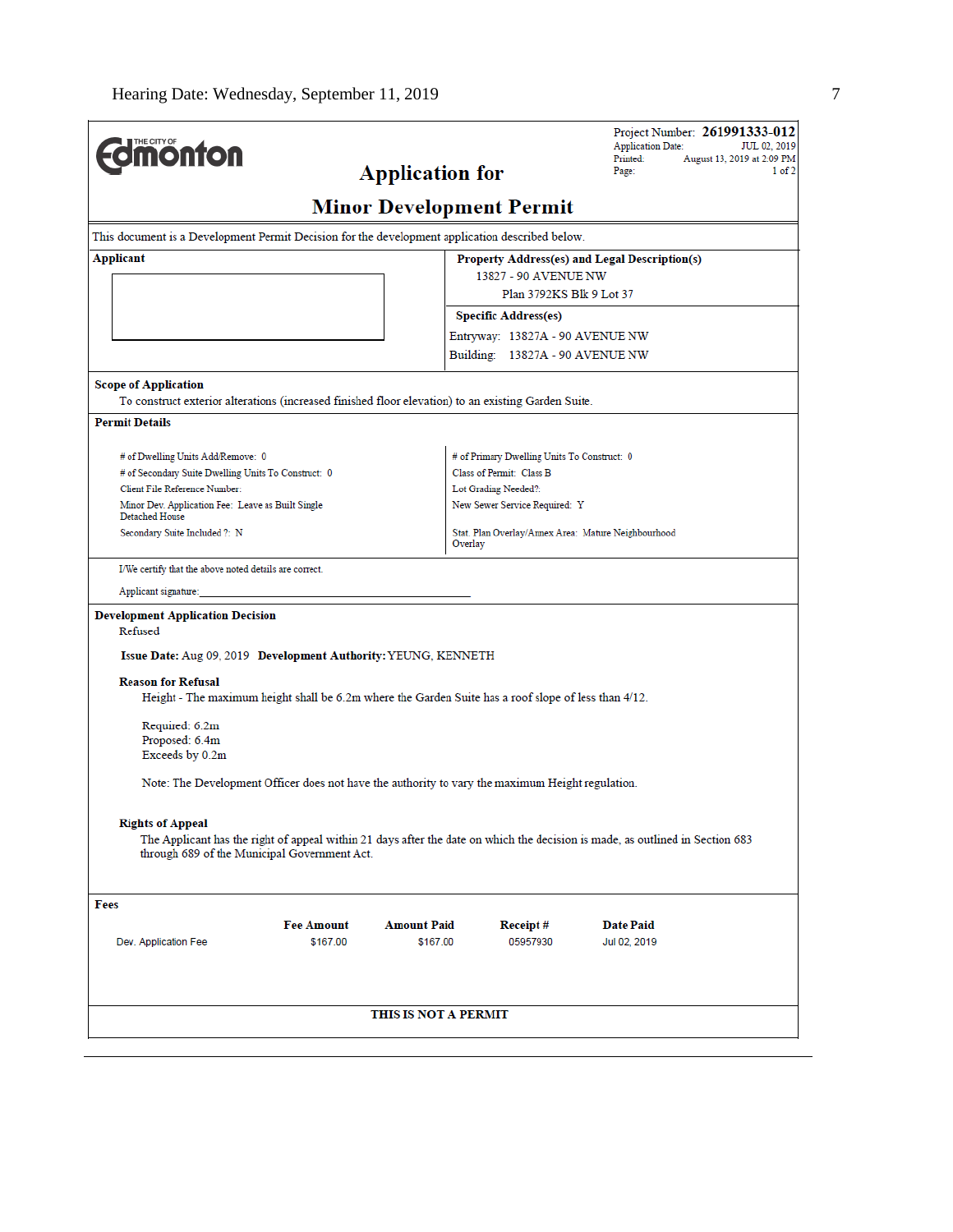| <b>Edmonton</b>                                                                                                                                                                                          |                   | <b>Application for</b> |                                                     | <b>Application Date:</b><br>Printed:<br>Page: | Project Number: 261991333-012<br>JUL 02, 2019<br>August 13, 2019 at 2:09 PM<br>1 of 2 |
|----------------------------------------------------------------------------------------------------------------------------------------------------------------------------------------------------------|-------------------|------------------------|-----------------------------------------------------|-----------------------------------------------|---------------------------------------------------------------------------------------|
|                                                                                                                                                                                                          |                   |                        | <b>Minor Development Permit</b>                     |                                               |                                                                                       |
| This document is a Development Permit Decision for the development application described below.                                                                                                          |                   |                        |                                                     |                                               |                                                                                       |
| Applicant                                                                                                                                                                                                |                   |                        | Property Address(es) and Legal Description(s)       |                                               |                                                                                       |
|                                                                                                                                                                                                          |                   |                        | 13827 - 90 AVENUE NW                                |                                               |                                                                                       |
|                                                                                                                                                                                                          |                   |                        | Plan 3792KS Blk 9 Lot 37                            |                                               |                                                                                       |
|                                                                                                                                                                                                          |                   |                        | <b>Specific Address(es)</b>                         |                                               |                                                                                       |
|                                                                                                                                                                                                          |                   |                        | Entryway: 13827A - 90 AVENUE NW                     |                                               |                                                                                       |
|                                                                                                                                                                                                          |                   |                        | Building: 13827A - 90 AVENUE NW                     |                                               |                                                                                       |
| <b>Scope of Application</b>                                                                                                                                                                              |                   |                        |                                                     |                                               |                                                                                       |
| To construct exterior alterations (increased finished floor elevation) to an existing Garden Suite.                                                                                                      |                   |                        |                                                     |                                               |                                                                                       |
| <b>Permit Details</b>                                                                                                                                                                                    |                   |                        |                                                     |                                               |                                                                                       |
|                                                                                                                                                                                                          |                   |                        |                                                     |                                               |                                                                                       |
| # of Dwelling Units Add/Remove: 0                                                                                                                                                                        |                   |                        | # of Primary Dwelling Units To Construct: 0         |                                               |                                                                                       |
| # of Secondary Suite Dwelling Units To Construct: 0<br>Client File Reference Number:                                                                                                                     |                   |                        | Class of Permit: Class B<br>Lot Grading Needed?:    |                                               |                                                                                       |
| Minor Dev. Application Fee: Leave as Built Single<br><b>Detached House</b>                                                                                                                               |                   |                        | New Sewer Service Required: Y                       |                                               |                                                                                       |
| Secondary Suite Included ?: N                                                                                                                                                                            |                   | Overlay                | Stat. Plan Overlay/Annex Area: Mature Neighbourhood |                                               |                                                                                       |
| I/We certify that the above noted details are correct.                                                                                                                                                   |                   |                        |                                                     |                                               |                                                                                       |
| Applicant signature:                                                                                                                                                                                     |                   |                        |                                                     |                                               |                                                                                       |
|                                                                                                                                                                                                          |                   |                        |                                                     |                                               |                                                                                       |
| <b>Development Application Decision</b><br>Refused                                                                                                                                                       |                   |                        |                                                     |                                               |                                                                                       |
|                                                                                                                                                                                                          |                   |                        |                                                     |                                               |                                                                                       |
| Issue Date: Aug 09, 2019 Development Authority: YEUNG, KENNETH                                                                                                                                           |                   |                        |                                                     |                                               |                                                                                       |
| <b>Reason for Refusal</b><br>Height - The maximum height shall be 6.2m where the Garden Suite has a roof slope of less than 4/12.                                                                        |                   |                        |                                                     |                                               |                                                                                       |
|                                                                                                                                                                                                          |                   |                        |                                                     |                                               |                                                                                       |
| Required: 6.2m                                                                                                                                                                                           |                   |                        |                                                     |                                               |                                                                                       |
| Proposed: 6.4m<br>Exceeds by 0.2m                                                                                                                                                                        |                   |                        |                                                     |                                               |                                                                                       |
|                                                                                                                                                                                                          |                   |                        |                                                     |                                               |                                                                                       |
| Note: The Development Officer does not have the authority to vary the maximum Height regulation.                                                                                                         |                   |                        |                                                     |                                               |                                                                                       |
|                                                                                                                                                                                                          |                   |                        |                                                     |                                               |                                                                                       |
| <b>Rights of Appeal</b><br>The Applicant has the right of appeal within 21 days after the date on which the decision is made, as outlined in Section 683<br>through 689 of the Municipal Government Act. |                   |                        |                                                     |                                               |                                                                                       |
|                                                                                                                                                                                                          |                   |                        |                                                     |                                               |                                                                                       |
| Fees                                                                                                                                                                                                     |                   |                        |                                                     |                                               |                                                                                       |
|                                                                                                                                                                                                          | <b>Fee Amount</b> | <b>Amount Paid</b>     | Receipt#                                            | <b>Date Paid</b>                              |                                                                                       |
| Dev. Application Fee                                                                                                                                                                                     | \$167.00          | \$167.00               | 05957930                                            | Jul 02, 2019                                  |                                                                                       |
|                                                                                                                                                                                                          |                   | THIS IS NOT A PERMIT   |                                                     |                                               |                                                                                       |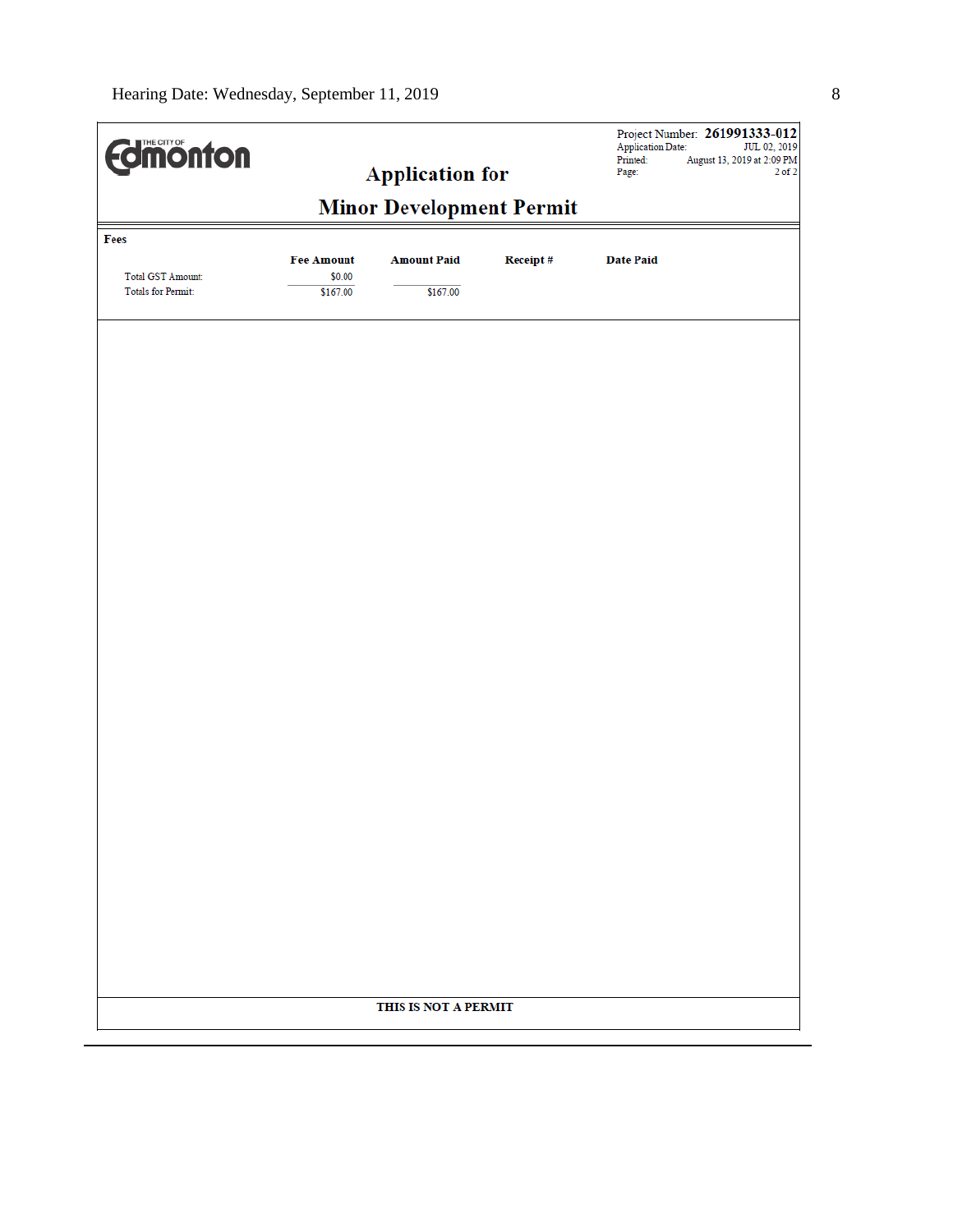| <b>Edinonton</b><br><b>Application for</b> |                                                               |                      |  | <b>Application Date:</b><br>Printed:<br>Page: | Project Number: 261991333-012<br>JUL 02, 2019<br>August 13, 2019 at 2:09 PM<br>$2$ of $2$ |
|--------------------------------------------|---------------------------------------------------------------|----------------------|--|-----------------------------------------------|-------------------------------------------------------------------------------------------|
|                                            | <b>Minor Development Permit</b>                               |                      |  |                                               |                                                                                           |
| Fees<br>Total GST Amount:                  | <b>Fee Amount</b><br><b>Amount Paid</b><br>Receipt#<br>\$0.00 |                      |  | <b>Date Paid</b>                              |                                                                                           |
| <b>Totals for Permit:</b>                  | \$167.00                                                      | \$167.00             |  |                                               |                                                                                           |
|                                            |                                                               |                      |  |                                               |                                                                                           |
|                                            |                                                               |                      |  |                                               |                                                                                           |
|                                            |                                                               |                      |  |                                               |                                                                                           |
|                                            |                                                               |                      |  |                                               |                                                                                           |
|                                            |                                                               |                      |  |                                               |                                                                                           |
|                                            |                                                               |                      |  |                                               |                                                                                           |
|                                            |                                                               |                      |  |                                               |                                                                                           |
|                                            |                                                               |                      |  |                                               |                                                                                           |
|                                            |                                                               |                      |  |                                               |                                                                                           |
|                                            |                                                               |                      |  |                                               |                                                                                           |
|                                            |                                                               |                      |  |                                               |                                                                                           |
|                                            |                                                               |                      |  |                                               |                                                                                           |
|                                            |                                                               |                      |  |                                               |                                                                                           |
|                                            |                                                               |                      |  |                                               |                                                                                           |
|                                            |                                                               |                      |  |                                               |                                                                                           |
|                                            |                                                               |                      |  |                                               |                                                                                           |
|                                            |                                                               | THIS IS NOT A PERMIT |  |                                               |                                                                                           |
|                                            |                                                               |                      |  |                                               |                                                                                           |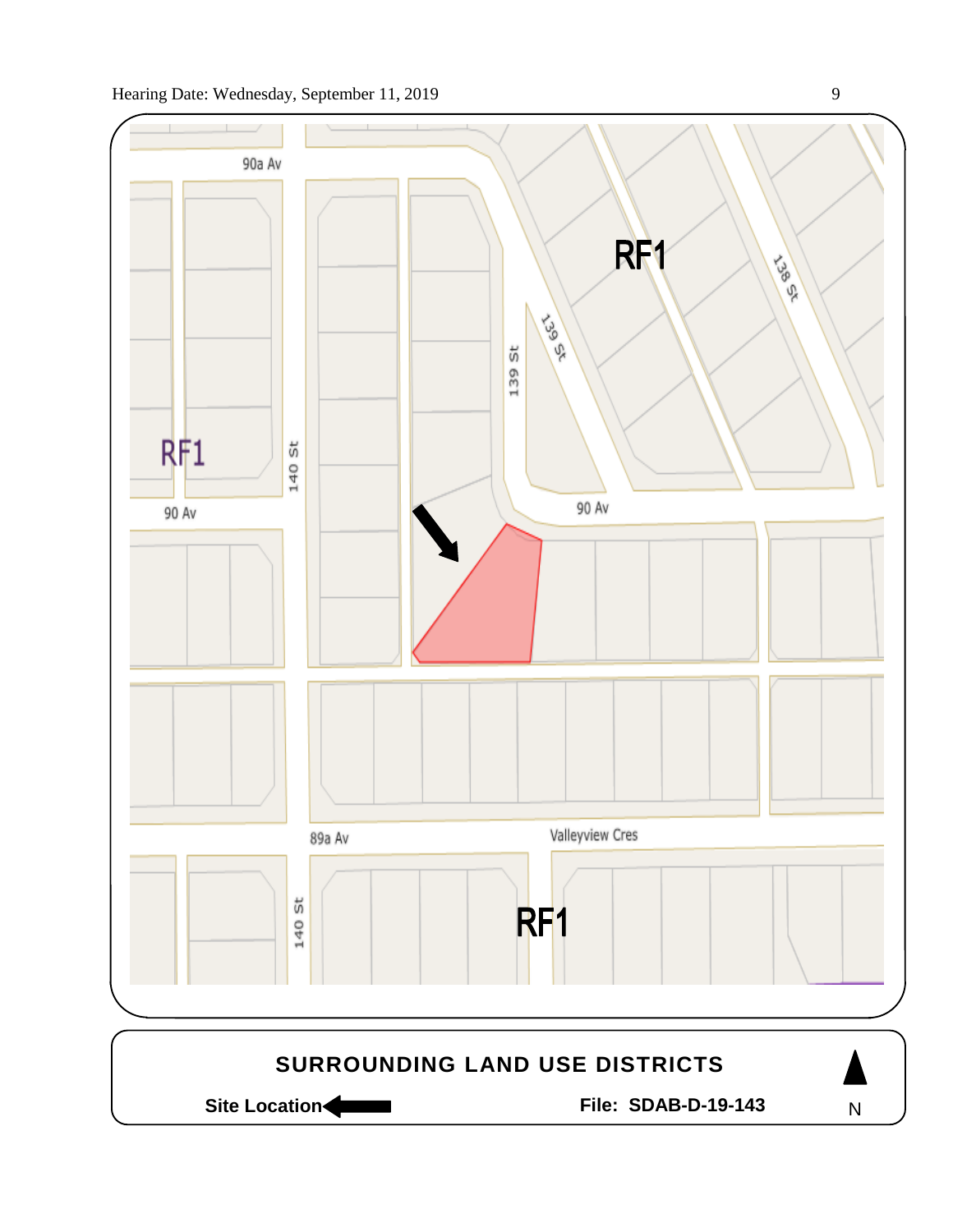

Site Location **Community Contracts** File: SDAB-D-19-143

N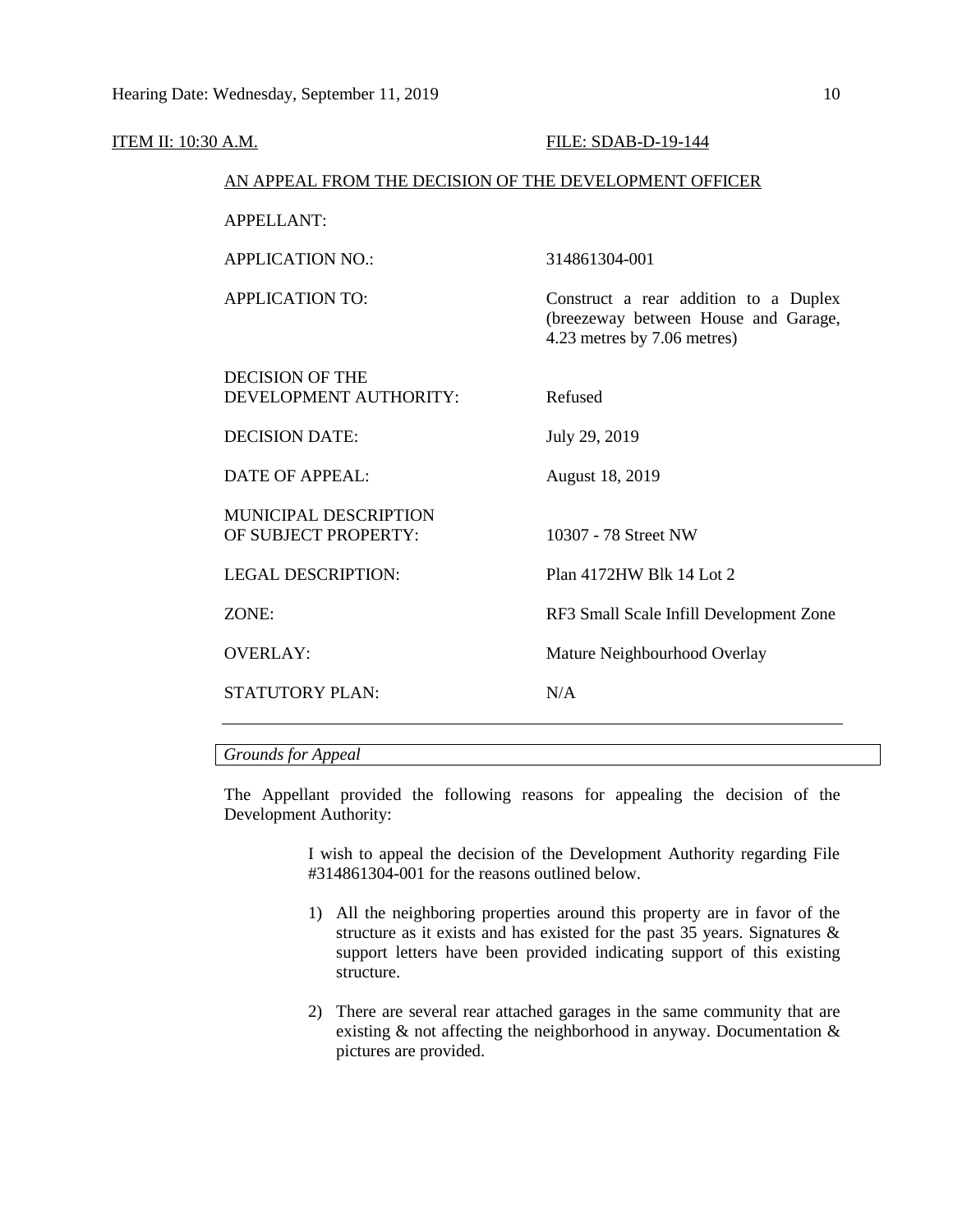| ITEM II: 10:30 A.M. |                                                        | FILE: SDAB-D-19-144                                                                                          |
|---------------------|--------------------------------------------------------|--------------------------------------------------------------------------------------------------------------|
|                     | AN APPEAL FROM THE DECISION OF THE DEVELOPMENT OFFICER |                                                                                                              |
|                     | <b>APPELLANT:</b>                                      |                                                                                                              |
|                     | <b>APPLICATION NO.:</b>                                | 314861304-001                                                                                                |
|                     | <b>APPLICATION TO:</b>                                 | Construct a rear addition to a Duplex<br>(breezeway between House and Garage,<br>4.23 metres by 7.06 metres) |
|                     | <b>DECISION OF THE</b><br>DEVELOPMENT AUTHORITY:       | Refused                                                                                                      |
|                     | <b>DECISION DATE:</b>                                  | July 29, 2019                                                                                                |
|                     | <b>DATE OF APPEAL:</b>                                 | August 18, 2019                                                                                              |
|                     | <b>MUNICIPAL DESCRIPTION</b><br>OF SUBJECT PROPERTY:   | 10307 - 78 Street NW                                                                                         |
|                     | <b>LEGAL DESCRIPTION:</b>                              | Plan 4172HW Blk 14 Lot 2                                                                                     |
|                     | ZONE:                                                  | RF3 Small Scale Infill Development Zone                                                                      |
|                     | <b>OVERLAY:</b>                                        | Mature Neighbourhood Overlay                                                                                 |
|                     | <b>STATUTORY PLAN:</b>                                 | N/A                                                                                                          |
|                     |                                                        |                                                                                                              |

## *Grounds for Appeal*

The Appellant provided the following reasons for appealing the decision of the Development Authority:

> I wish to appeal the decision of the Development Authority regarding File #314861304-001 for the reasons outlined below.

- 1) All the neighboring properties around this property are in favor of the structure as it exists and has existed for the past 35 years. Signatures  $\&$ support letters have been provided indicating support of this existing structure.
- 2) There are several rear attached garages in the same community that are existing & not affecting the neighborhood in anyway. Documentation & pictures are provided.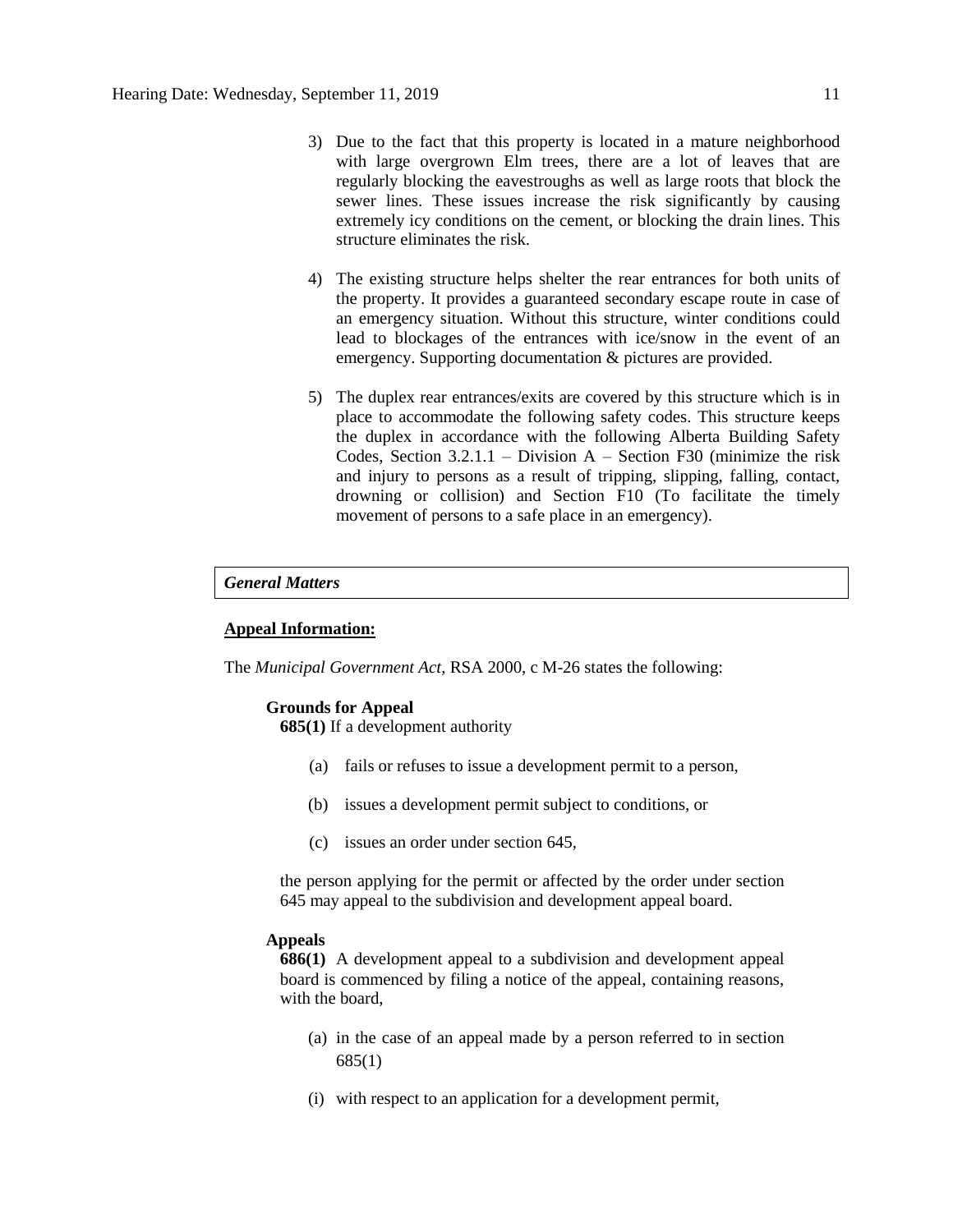- 3) Due to the fact that this property is located in a mature neighborhood with large overgrown Elm trees, there are a lot of leaves that are regularly blocking the eavestroughs as well as large roots that block the sewer lines. These issues increase the risk significantly by causing extremely icy conditions on the cement, or blocking the drain lines. This structure eliminates the risk.
- 4) The existing structure helps shelter the rear entrances for both units of the property. It provides a guaranteed secondary escape route in case of an emergency situation. Without this structure, winter conditions could lead to blockages of the entrances with ice/snow in the event of an emergency. Supporting documentation & pictures are provided.
- 5) The duplex rear entrances/exits are covered by this structure which is in place to accommodate the following safety codes. This structure keeps the duplex in accordance with the following Alberta Building Safety Codes, Section  $3.2.1.1$  – Division A – Section F30 (minimize the risk and injury to persons as a result of tripping, slipping, falling, contact, drowning or collision) and Section F10 (To facilitate the timely movement of persons to a safe place in an emergency).

#### *General Matters*

### **Appeal Information:**

The *Municipal Government Act*, RSA 2000, c M-26 states the following:

#### **Grounds for Appeal**

**685(1)** If a development authority

- (a) fails or refuses to issue a development permit to a person,
- (b) issues a development permit subject to conditions, or
- (c) issues an order under section 645,

the person applying for the permit or affected by the order under section 645 may appeal to the subdivision and development appeal board.

#### **Appeals**

**686(1)** A development appeal to a subdivision and development appeal board is commenced by filing a notice of the appeal, containing reasons, with the board,

- (a) in the case of an appeal made by a person referred to in section 685(1)
- (i) with respect to an application for a development permit,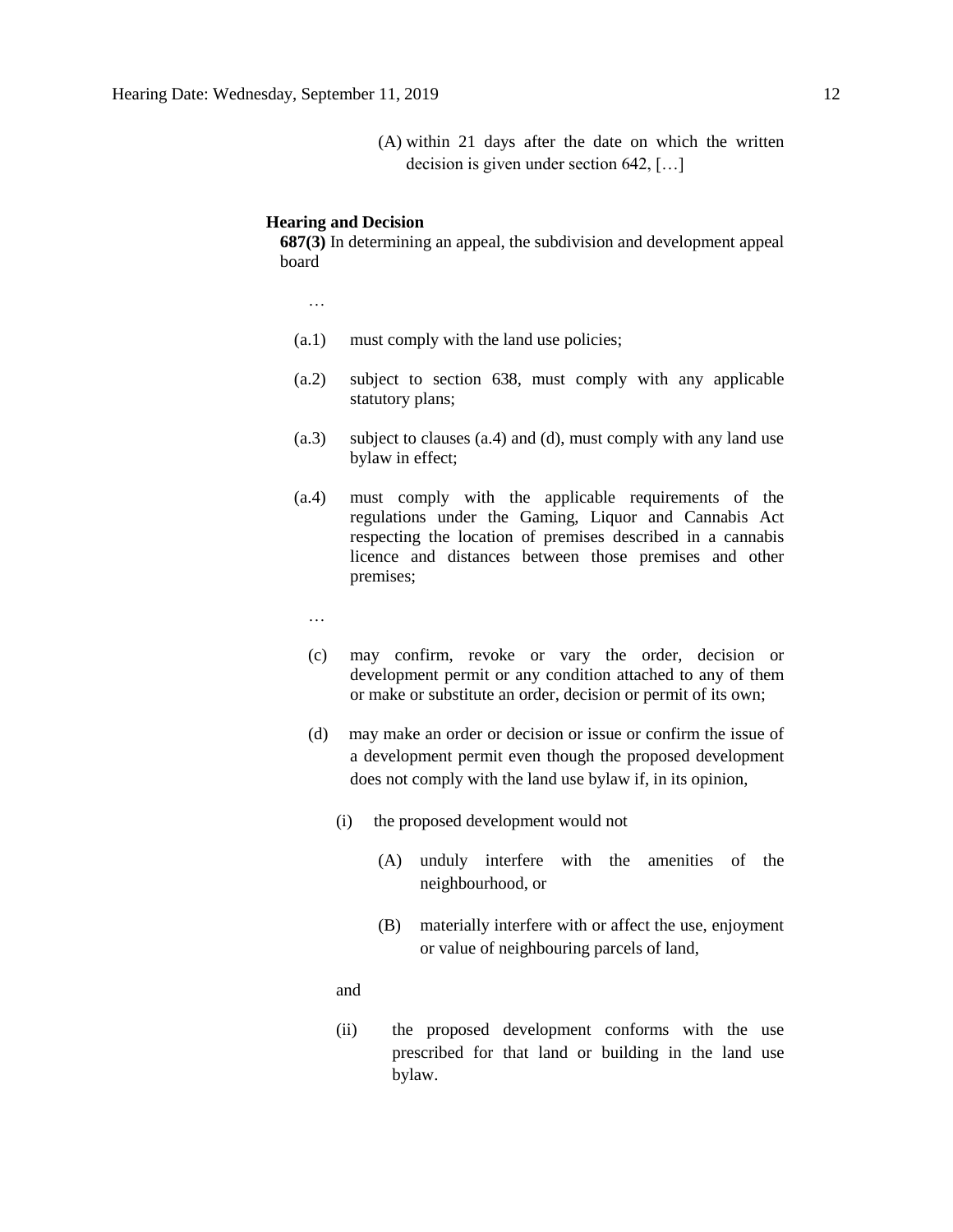(A) within 21 days after the date on which the written decision is given under section 642, […]

#### **Hearing and Decision**

**687(3)** In determining an appeal, the subdivision and development appeal board

…

- (a.1) must comply with the land use policies;
- (a.2) subject to section 638, must comply with any applicable statutory plans;
- (a.3) subject to clauses (a.4) and (d), must comply with any land use bylaw in effect;
- (a.4) must comply with the applicable requirements of the regulations under the Gaming, Liquor and Cannabis Act respecting the location of premises described in a cannabis licence and distances between those premises and other premises;
	- …
	- (c) may confirm, revoke or vary the order, decision or development permit or any condition attached to any of them or make or substitute an order, decision or permit of its own;
	- (d) may make an order or decision or issue or confirm the issue of a development permit even though the proposed development does not comply with the land use bylaw if, in its opinion,
		- (i) the proposed development would not
			- (A) unduly interfere with the amenities of the neighbourhood, or
			- (B) materially interfere with or affect the use, enjoyment or value of neighbouring parcels of land,

and

(ii) the proposed development conforms with the use prescribed for that land or building in the land use bylaw.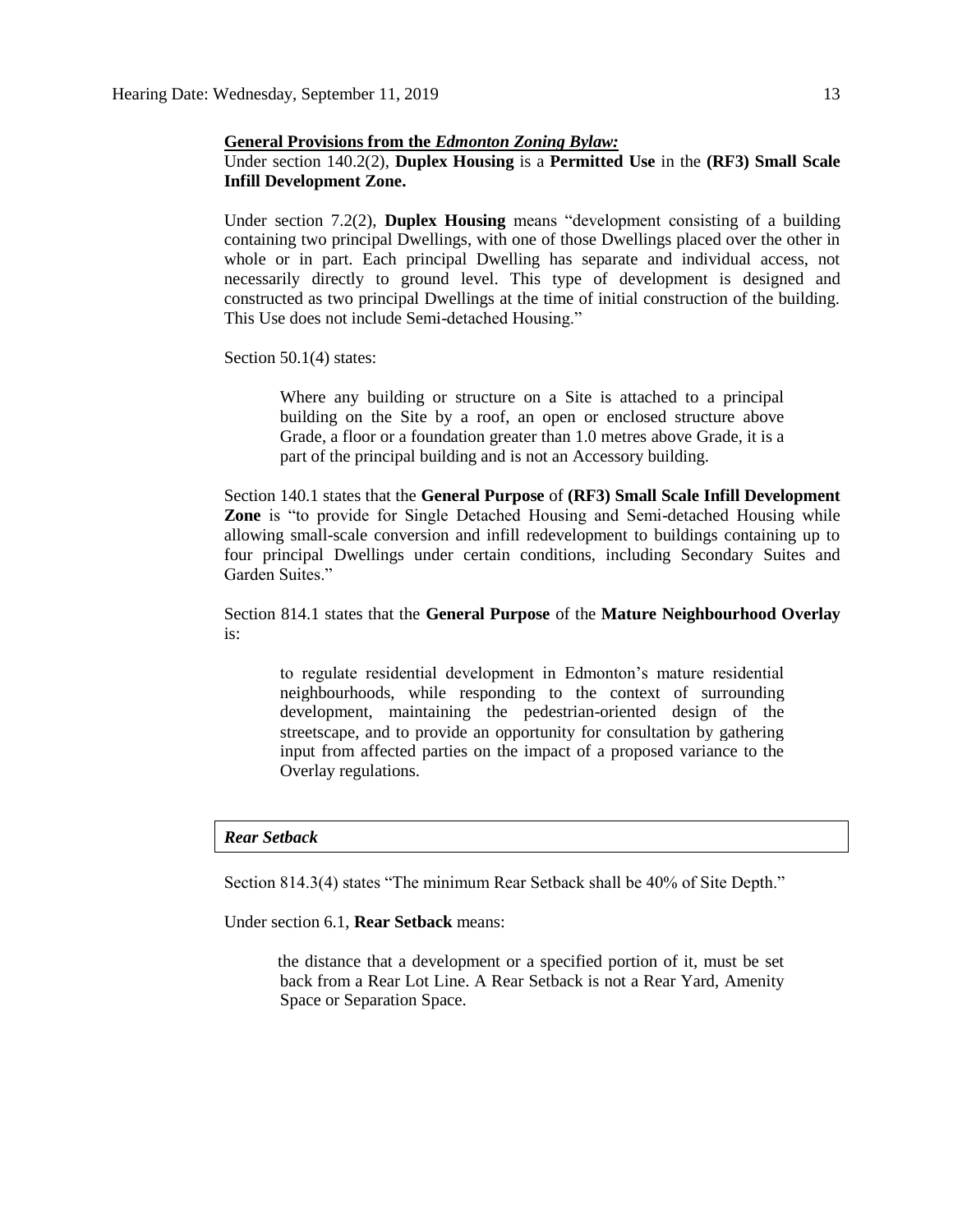#### **General Provisions from the** *Edmonton Zoning Bylaw:*

### Under section 140.2(2), **Duplex Housing** is a **Permitted Use** in the **(RF3) Small Scale Infill Development Zone.**

Under section 7.2(2), **Duplex Housing** means "development consisting of a building containing two principal Dwellings, with one of those Dwellings placed over the other in whole or in part. Each principal Dwelling has separate and individual access, not necessarily directly to ground level. This type of development is designed and constructed as two principal Dwellings at the time of initial construction of the building. This Use does not include Semi-detached Housing."

#### Section 50.1(4) states:

Where any building or structure on a Site is attached to a principal building on the Site by a roof, an open or enclosed structure above Grade, a floor or a foundation greater than 1.0 metres above Grade, it is a part of the principal building and is not an Accessory building.

Section 140.1 states that the **General Purpose** of **(RF3) Small Scale Infill Development Zone** is "to provide for Single Detached Housing and Semi-detached Housing while allowing small-scale conversion and infill redevelopment to buildings containing up to four principal Dwellings under certain conditions, including Secondary Suites and Garden Suites."

Section 814.1 states that the **General Purpose** of the **Mature Neighbourhood Overlay** is:

to regulate residential development in Edmonton's mature residential neighbourhoods, while responding to the context of surrounding development, maintaining the pedestrian-oriented design of the streetscape, and to provide an opportunity for consultation by gathering input from affected parties on the impact of a proposed variance to the Overlay regulations.

#### *Rear Setback*

Section 814.3(4) states "The minimum Rear Setback shall be 40% of Site Depth."

Under section 6.1, **Rear Setback** means:

the distance that a development or a specified portion of it, must be set back from a Rear Lot Line. A Rear Setback is not a Rear Yard, Amenity Space or Separation Space.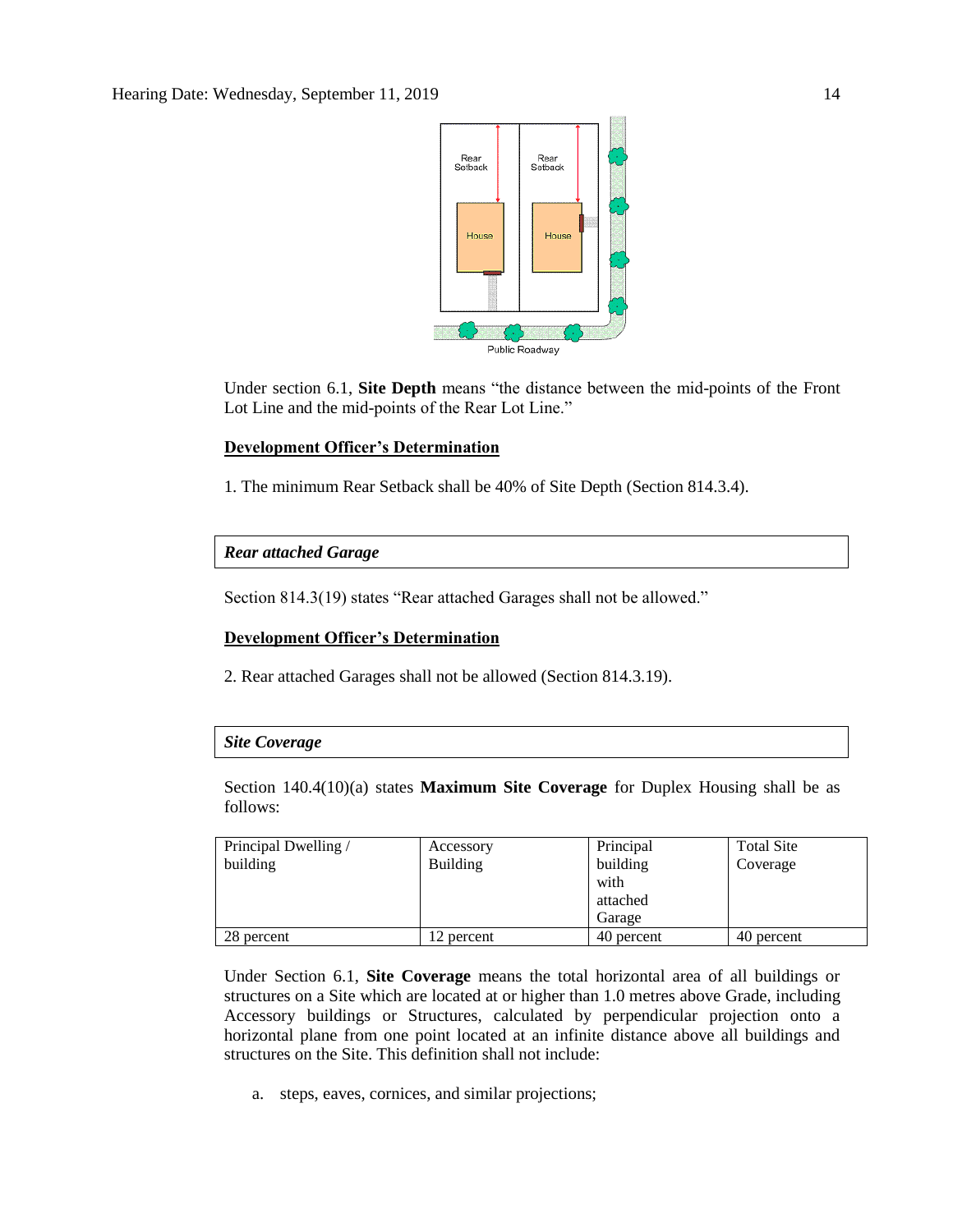

Under section 6.1, **Site Depth** means "the distance between the mid-points of the Front Lot Line and the mid-points of the Rear Lot Line."

#### **Development Officer's Determination**

1. The minimum Rear Setback shall be 40% of Site Depth (Section 814.3.4).

### *Rear attached Garage*

Section 814.3(19) states "Rear attached Garages shall not be allowed."

#### **Development Officer's Determination**

2. Rear attached Garages shall not be allowed (Section 814.3.19).

# *Site Coverage*

Section 140.4(10)(a) states **Maximum Site Coverage** for Duplex Housing shall be as follows:

| Principal Dwelling / | Accessory       | Principal  | <b>Total Site</b> |
|----------------------|-----------------|------------|-------------------|
| building             | <b>Building</b> | building   | Coverage          |
|                      |                 | with       |                   |
|                      |                 | attached   |                   |
|                      |                 | Garage     |                   |
| 28 percent           | 2 percent       | 40 percent | 40 percent        |

Under Section 6.1, **Site Coverage** means the total horizontal area of all buildings or structures on a Site which are located at or higher than 1.0 metres above Grade, including Accessory buildings or Structures, calculated by perpendicular projection onto a horizontal plane from one point located at an infinite distance above all buildings and structures on the Site. This definition shall not include:

a. steps, eaves, cornices, and similar projections;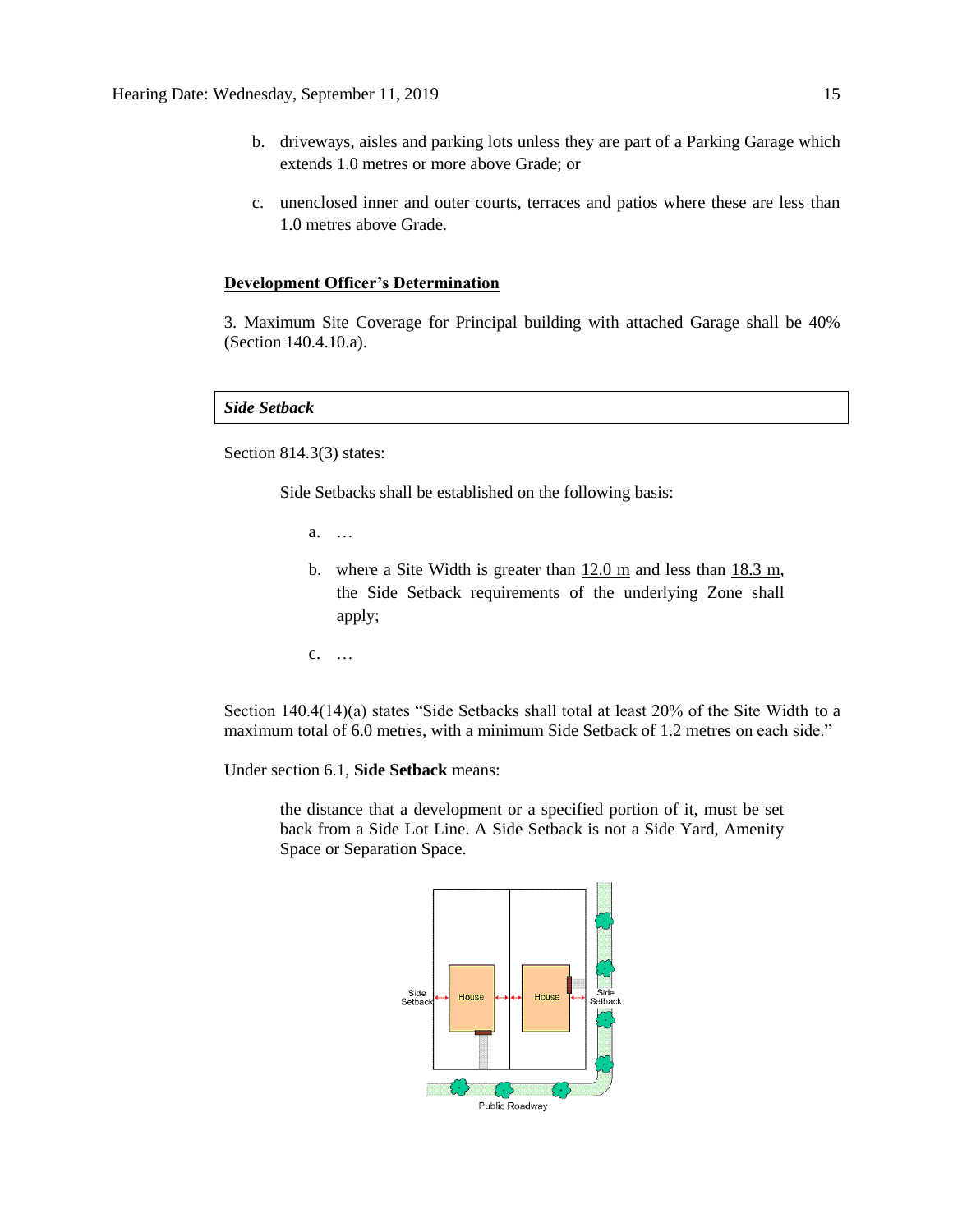- b. driveways, aisles and parking lots unless they are part of a Parking Garage which extends 1.0 metres or more above Grade; or
- c. unenclosed inner and outer courts, terraces and patios where these are less than 1.0 metres above Grade.

#### **Development Officer's Determination**

3. Maximum Site Coverage for Principal building with attached Garage shall be 40% (Section 140.4.10.a).

*Side Setback* 

Section 814.3(3) states:

Side Setbacks shall be established on the following basis:

a. …

- b. where a Site Width is greater than 12.0 m and less than 18.3 m, the Side Setback requirements of the underlying Zone shall apply;
- c. …

Section 140.4(14)(a) states "Side Setbacks shall total at least 20% of the Site Width to a maximum total of 6.0 metres, with a minimum Side Setback of 1.2 metres on each side."

Under section 6.1, **Side Setback** means:

the distance that a development or a specified portion of it, must be set back from a Side Lot Line. A Side Setback is not a Side Yard, Amenity Space or Separation Space.

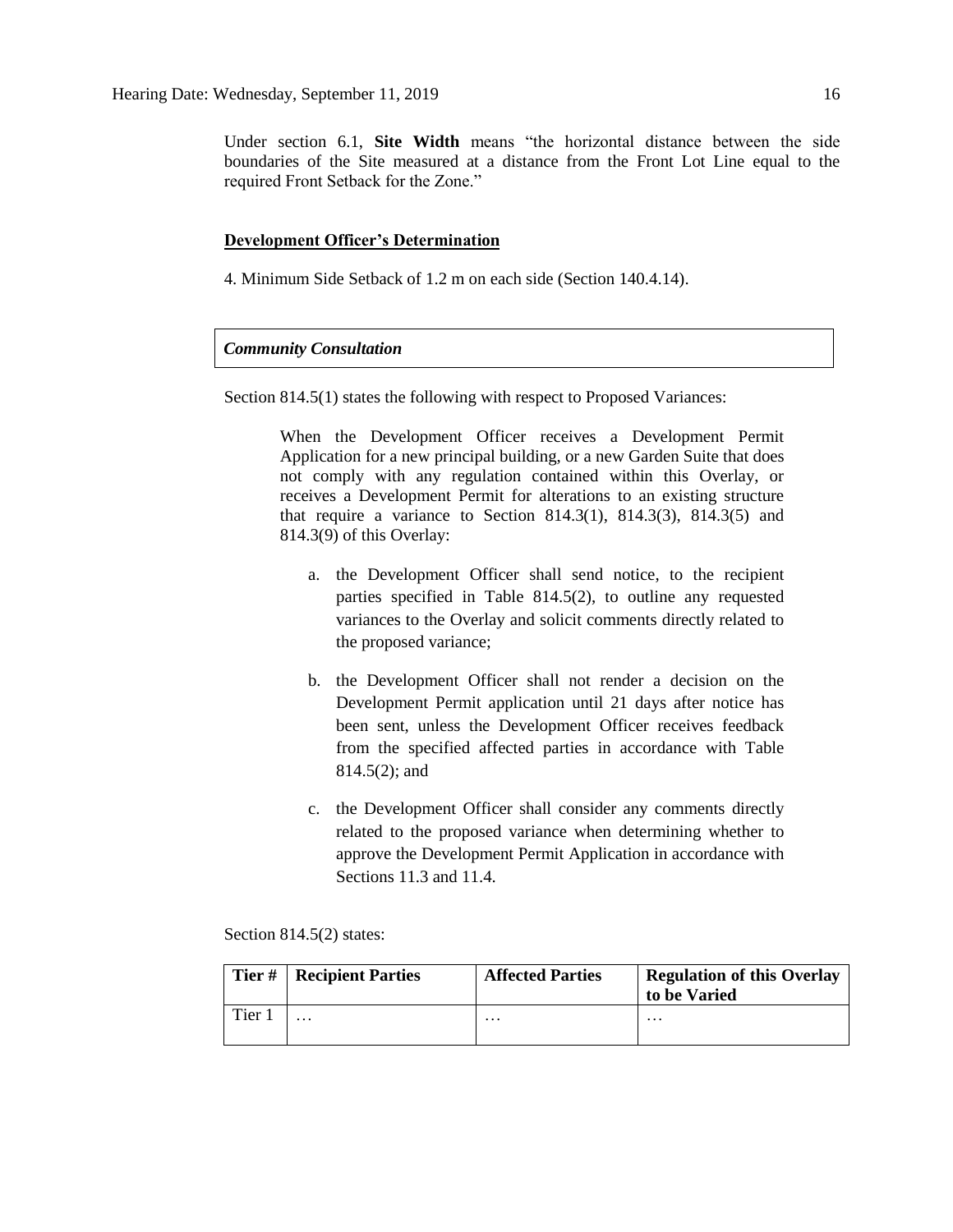Under section 6.1, **Site Width** means "the horizontal distance between the side boundaries of the Site measured at a distance from the Front Lot Line equal to the required Front Setback for the Zone."

### **Development Officer's Determination**

4. Minimum Side Setback of 1.2 m on each side (Section 140.4.14).

#### *Community Consultation*

Section 814.5(1) states the following with respect to Proposed Variances:

When the Development Officer receives a Development Permit Application for a new principal building, or a new Garden Suite that does not comply with any regulation contained within this Overlay, or receives a Development Permit for alterations to an existing structure that require a variance to Section 814.3(1), 814.3(3), 814.3(5) and 814.3(9) of this Overlay:

- a. the Development Officer shall send notice, to the recipient parties specified in Table 814.5(2), to outline any requested variances to the Overlay and solicit comments directly related to the proposed variance;
- b. the Development Officer shall not render a decision on the Development Permit application until 21 days after notice has been sent, unless the Development Officer receives feedback from the specified affected parties in accordance with Table 814.5(2); and
- c. the Development Officer shall consider any comments directly related to the proposed variance when determining whether to approve the Development Permit Application in accordance with Sections 11.3 and 11.4.

Section 814.5(2) states:

| Tier# | <b>Recipient Parties</b> | <b>Affected Parties</b> | <b>Regulation of this Overlay</b><br>to be Varied |
|-------|--------------------------|-------------------------|---------------------------------------------------|
| Tier  | $\cdots$                 | $\cdots$                | $\cdots$                                          |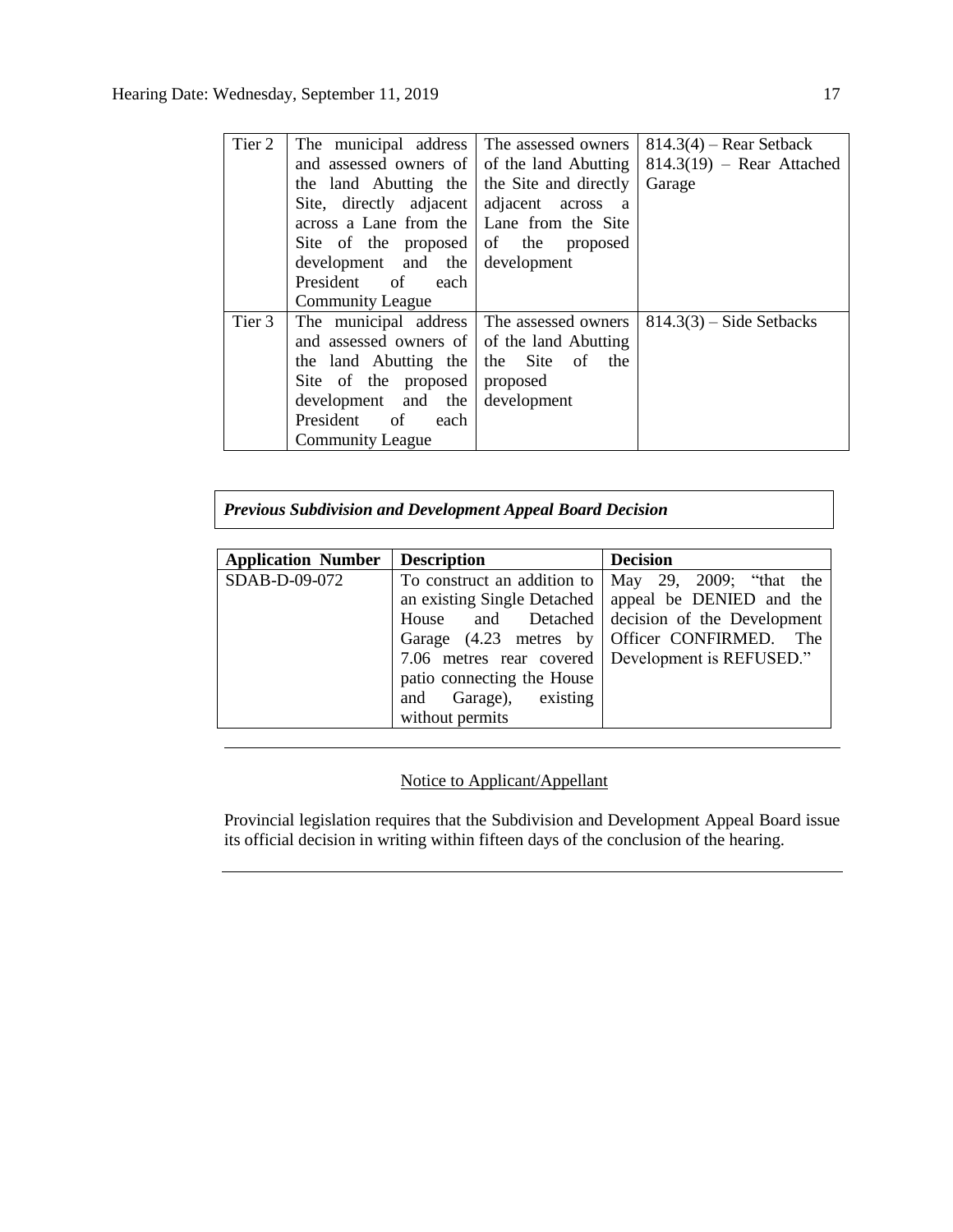| Tier 2 | The municipal address                       | The assessed owners | $814.3(4)$ – Rear Setback   |
|--------|---------------------------------------------|---------------------|-----------------------------|
|        | and assessed owners of of the land Abutting |                     | $814.3(19)$ – Rear Attached |
|        | the land Abutting the the Site and directly |                     | Garage                      |
|        | Site, directly adjacent adjacent across     | <sub>a</sub>        |                             |
|        | across a Lane from the Lane from the Site   |                     |                             |
|        | Site of the proposed of the proposed        |                     |                             |
|        | development and the development             |                     |                             |
|        | President of each                           |                     |                             |
|        | <b>Community League</b>                     |                     |                             |
| Tier 3 | The municipal address The assessed owners   |                     | $814.3(3)$ – Side Setbacks  |
|        | and assessed owners of of the land Abutting |                     |                             |
|        | the land Abutting the the Site of the       |                     |                             |
|        | Site of the proposed proposed               |                     |                             |
|        | development and the development             |                     |                             |
|        | President of<br>each                        |                     |                             |
|        | <b>Community League</b>                     |                     |                             |

*Previous Subdivision and Development Appeal Board Decision*

| <b>Application Number</b> | <b>Description</b>          | <b>Decision</b>                                        |
|---------------------------|-----------------------------|--------------------------------------------------------|
| SDAB-D-09-072             | To construct an addition to | May 29, 2009; "that the                                |
|                           |                             | an existing Single Detached   appeal be DENIED and the |
|                           |                             | House and Detached decision of the Development         |
|                           |                             | Garage (4.23 metres by Officer CONFIRMED. The          |
|                           |                             | 7.06 metres rear covered   Development is REFUSED."    |
|                           | patio connecting the House  |                                                        |
|                           | and Garage), existing       |                                                        |
|                           | without permits             |                                                        |

## Notice to Applicant/Appellant

Provincial legislation requires that the Subdivision and Development Appeal Board issue its official decision in writing within fifteen days of the conclusion of the hearing.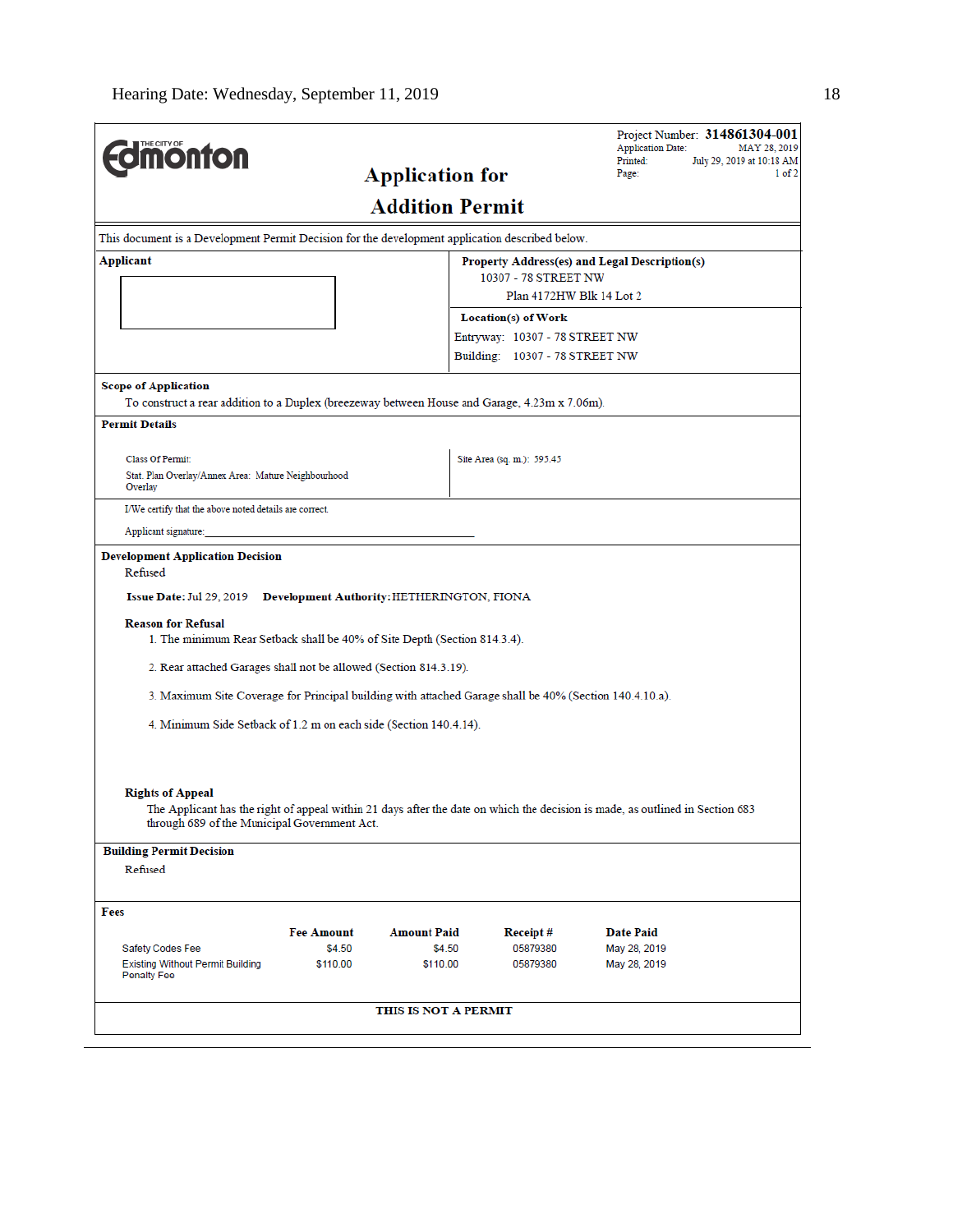| <b><i><u><u><b>M</b>onton</u></u></i></b>                                                                                                                                                                                                                                                                                                                                                                                                                          |                    |                                            |                                | Project Number: 314861304-001<br><b>Application Date:</b><br>MAY 28, 2019<br>Printed:                                         |
|--------------------------------------------------------------------------------------------------------------------------------------------------------------------------------------------------------------------------------------------------------------------------------------------------------------------------------------------------------------------------------------------------------------------------------------------------------------------|--------------------|--------------------------------------------|--------------------------------|-------------------------------------------------------------------------------------------------------------------------------|
|                                                                                                                                                                                                                                                                                                                                                                                                                                                                    |                    | <b>Application for</b>                     |                                | July 29, 2019 at 10:18 AM<br>Page:<br>1 of 2                                                                                  |
|                                                                                                                                                                                                                                                                                                                                                                                                                                                                    |                    | <b>Addition Permit</b>                     |                                |                                                                                                                               |
| This document is a Development Permit Decision for the development application described below.                                                                                                                                                                                                                                                                                                                                                                    |                    |                                            |                                |                                                                                                                               |
| Applicant                                                                                                                                                                                                                                                                                                                                                                                                                                                          |                    |                                            | 10307 - 78 STREET NW           | Property Address(es) and Legal Description(s)                                                                                 |
|                                                                                                                                                                                                                                                                                                                                                                                                                                                                    |                    |                                            | Plan 4172HW Blk 14 Lot 2       |                                                                                                                               |
|                                                                                                                                                                                                                                                                                                                                                                                                                                                                    |                    |                                            | Location(s) of Work            |                                                                                                                               |
|                                                                                                                                                                                                                                                                                                                                                                                                                                                                    |                    |                                            | Entryway: 10307 - 78 STREET NW |                                                                                                                               |
|                                                                                                                                                                                                                                                                                                                                                                                                                                                                    |                    |                                            | Building: 10307 - 78 STREET NW |                                                                                                                               |
| <b>Scope of Application</b>                                                                                                                                                                                                                                                                                                                                                                                                                                        |                    |                                            |                                |                                                                                                                               |
| To construct a rear addition to a Duplex (breezeway between House and Garage, 4.23m x 7.06m).<br><b>Permit Details</b>                                                                                                                                                                                                                                                                                                                                             |                    |                                            |                                |                                                                                                                               |
|                                                                                                                                                                                                                                                                                                                                                                                                                                                                    |                    |                                            |                                |                                                                                                                               |
| <b>Class Of Permit:</b>                                                                                                                                                                                                                                                                                                                                                                                                                                            |                    |                                            | Site Area (sq. m.): 595.45     |                                                                                                                               |
| Stat. Plan Overlay/Annex Area: Mature Neighbourhood<br>Overlay                                                                                                                                                                                                                                                                                                                                                                                                     |                    |                                            |                                |                                                                                                                               |
| I/We certify that the above noted details are correct.                                                                                                                                                                                                                                                                                                                                                                                                             |                    |                                            |                                |                                                                                                                               |
| Applicant signature:                                                                                                                                                                                                                                                                                                                                                                                                                                               |                    |                                            |                                |                                                                                                                               |
| Issue Date: Jul 29, 2019<br><b>Reason for Refusal</b><br>1. The minimum Rear Setback shall be 40% of Site Depth (Section 814.3.4).<br>2. Rear attached Garages shall not be allowed (Section 814.3.19).<br>3. Maximum Site Coverage for Principal building with attached Garage shall be 40% (Section 140.4.10.a).<br>4. Minimum Side Setback of 1.2 m on each side (Section 140.4.14).<br><b>Rights of Appeal</b><br>through 689 of the Municipal Government Act. |                    | Development Authority: HETHERINGTON, FIONA |                                | The Applicant has the right of appeal within 21 days after the date on which the decision is made, as outlined in Section 683 |
| <b>Building Permit Decision</b>                                                                                                                                                                                                                                                                                                                                                                                                                                    |                    |                                            |                                |                                                                                                                               |
| Refused                                                                                                                                                                                                                                                                                                                                                                                                                                                            |                    |                                            |                                |                                                                                                                               |
| Fees                                                                                                                                                                                                                                                                                                                                                                                                                                                               |                    |                                            |                                |                                                                                                                               |
|                                                                                                                                                                                                                                                                                                                                                                                                                                                                    | <b>Fee Amount</b>  | <b>Amount Paid</b>                         | Receipt#                       | <b>Date Paid</b>                                                                                                              |
| Safety Codes Fee<br><b>Existing Without Permit Building</b><br><b>Penalty Fee</b>                                                                                                                                                                                                                                                                                                                                                                                  | \$4.50<br>\$110.00 | \$4.50<br>\$110.00                         | 05879380<br>05879380           | May 28, 2019<br>May 28, 2019                                                                                                  |
|                                                                                                                                                                                                                                                                                                                                                                                                                                                                    |                    | THIS IS NOT A PERMIT                       |                                |                                                                                                                               |
|                                                                                                                                                                                                                                                                                                                                                                                                                                                                    |                    |                                            |                                |                                                                                                                               |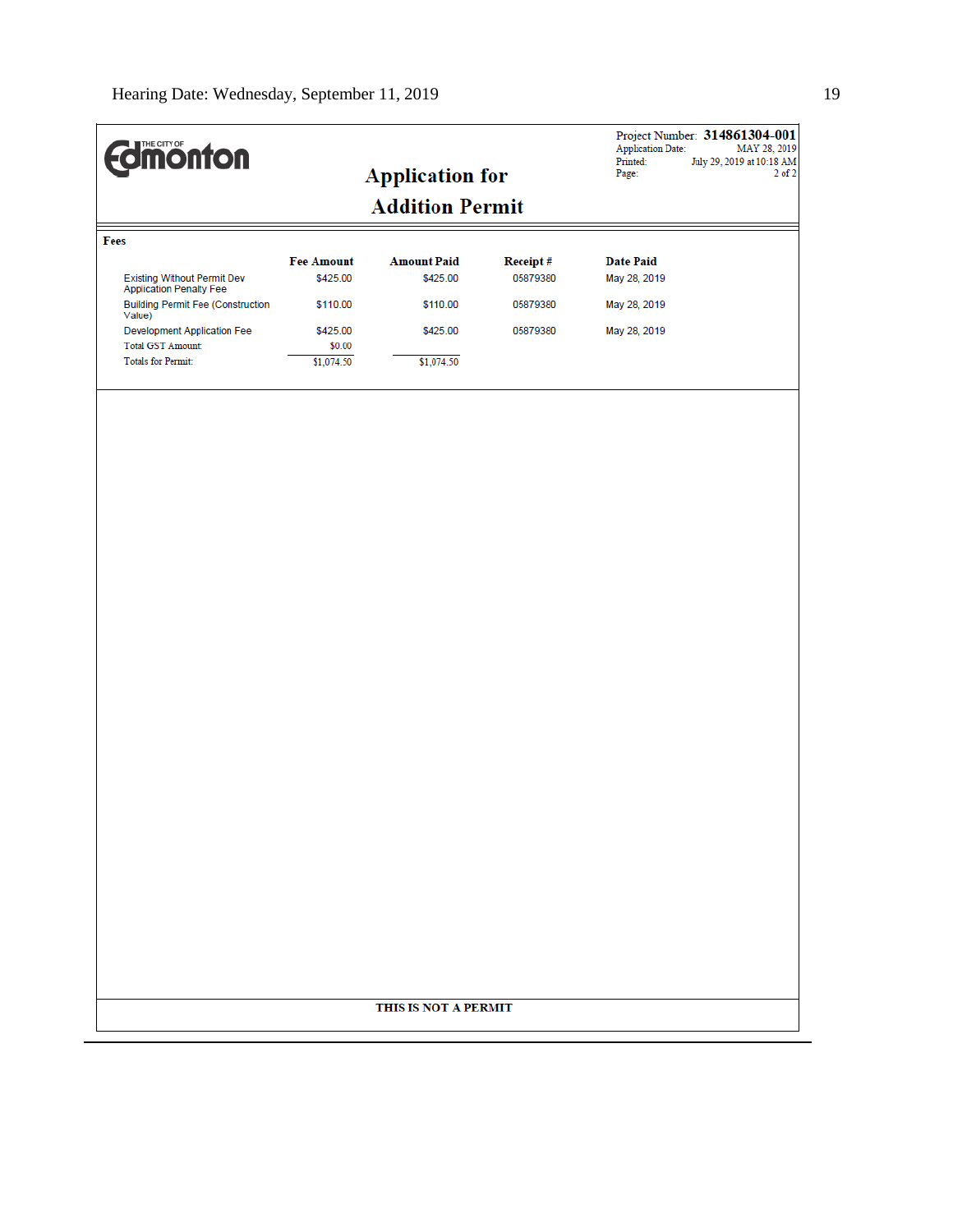| <b>Edinonton</b>                                                     |                      |                        |          | Project Number: 314861304-001<br><b>Application Date:</b><br>Printed:<br>July 29, 2019 at 10:18 AM | MAY 28, 2019 |
|----------------------------------------------------------------------|----------------------|------------------------|----------|----------------------------------------------------------------------------------------------------|--------------|
|                                                                      |                      | <b>Application for</b> |          | Page:                                                                                              | $2$ of $2$   |
|                                                                      |                      | <b>Addition Permit</b> |          |                                                                                                    |              |
| Fees                                                                 |                      |                        |          |                                                                                                    |              |
|                                                                      | <b>Fee Amount</b>    | <b>Amount Paid</b>     | Receipt# | <b>Date Paid</b>                                                                                   |              |
| <b>Existing Without Permit Dev</b><br><b>Application Penalty Fee</b> | \$425.00             | \$425.00               | 05879380 | May 28, 2019                                                                                       |              |
| <b>Building Permit Fee (Construction</b><br>Value)                   | \$110.00             | \$110.00               | 05879380 | May 28, 2019                                                                                       |              |
| <b>Development Application Fee</b>                                   | \$425.00             | \$425.00               | 05879380 | May 28, 2019                                                                                       |              |
| <b>Total GST Amount:</b><br><b>Totals for Permit:</b>                | \$0.00<br>\$1,074.50 | \$1,074.50             |          |                                                                                                    |              |
|                                                                      |                      |                        |          |                                                                                                    |              |
|                                                                      |                      |                        |          |                                                                                                    |              |
|                                                                      |                      | THIS IS NOT A PERMIT   |          |                                                                                                    |              |